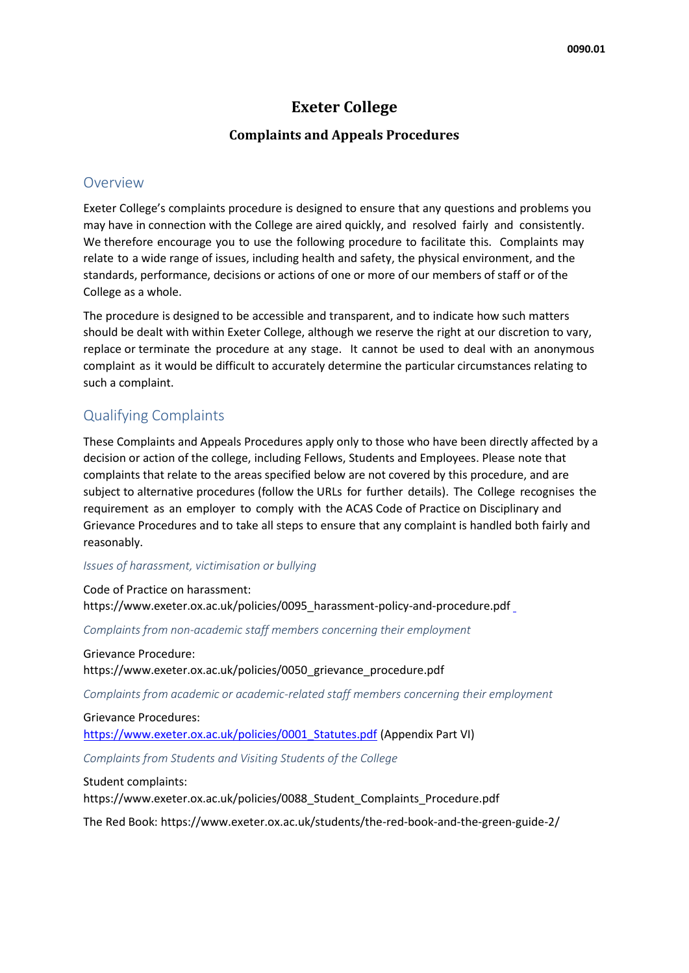# **Exeter College**

### **Complaints and Appeals Procedures**

### Overview

Exeter College's complaints procedure is designed to ensure that any questions and problems you may have in connection with the College are aired quickly, and resolved fairly and consistently. We therefore encourage you to use the following procedure to facilitate this. Complaints may relate to a wide range of issues, including health and safety, the physical environment, and the standards, performance, decisions or actions of one or more of our members of staff or of the College as a whole.

The procedure is designed to be accessible and transparent, and to indicate how such matters should be dealt with within Exeter College, although we reserve the right at our discretion to vary, replace or terminate the procedure at any stage. It cannot be used to deal with an anonymous complaint as it would be difficult to accurately determine the particular circumstances relating to such a complaint.

## Qualifying Complaints

These Complaints and Appeals Procedures apply only to those who have been directly affected by a decision or action of the college, including Fellows, Students and Employees. Please note that complaints that relate to the areas specified below are not covered by this procedure, and are subject to alternative procedures (follow the URLs for further details). The College recognises the requirement as an employer to comply with the ACAS Code of Practice on Disciplinary and Grievance Procedures and to take all steps to ensure that any complaint is handled both fairly and reasonably.

#### *Issues of harassment, victimisation or bullying*

Code of Practice on harassment: https://www.exeter.ox.ac.uk/policies/0095\_harassment-policy-and-procedure.pd[f](http://www.exeter.ox.ac.uk/sites/exeter/files/documents/cop_harassment.pdf)

*Complaints from non-academic staff members concerning their employment*

Grievance Procedure: https://www.exeter.ox.ac.uk/policies/0050\_grievance\_procedure.pdf

*Complaints from academic or academic-related staff members concerning their employment*

Grievance Procedures: [https://www.exeter.ox.ac.uk/policies/0001\\_Statutes.pdf](http://www.exeter.ox.ac.uk/sites/exeter/files/documents/statutes.pdf) (Appendix Part VI)

*Complaints from Students and Visiting Students of the College*

Student complaints: https://www.exeter.ox.ac.uk/policies/0088\_Student\_Complaints\_Procedure.pdf

The Red Book: https://www.exeter.ox.ac.uk/students/the-red-book-and-the-green-guide-2/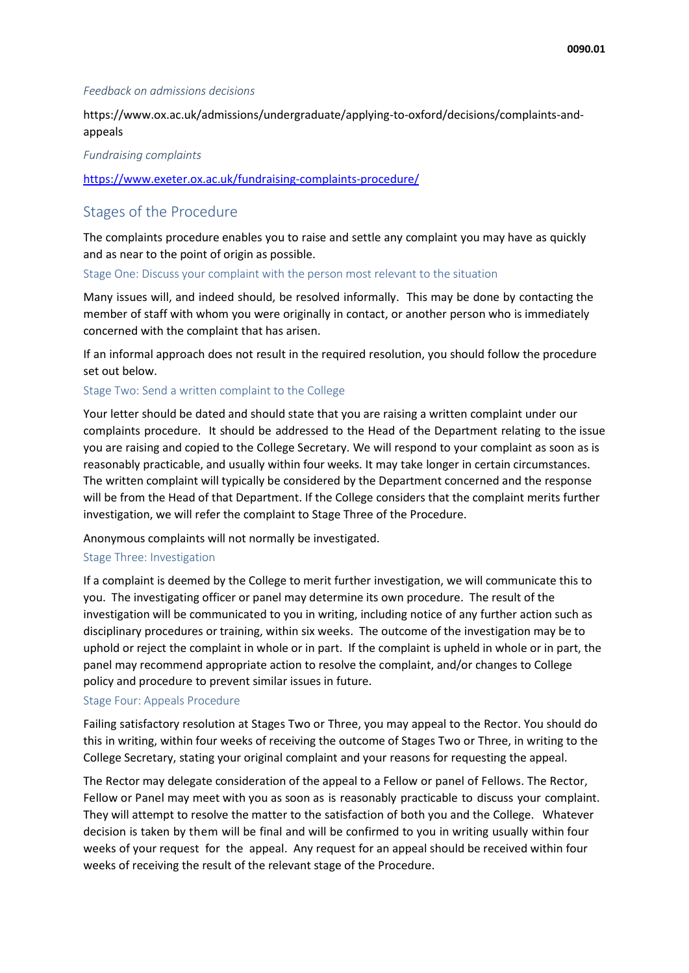#### *Feedback on admissions decisions*

[https://www.ox.ac.uk/admissions/undergraduate/applying-to-oxford/decisions/complaints-and](https://www.ox.ac.uk/admissions/undergraduate/applying-to-oxford/decisions/complaints-and-appeals)[appeals](https://www.ox.ac.uk/admissions/undergraduate/applying-to-oxford/decisions/complaints-and-appeals)

*Fundraising complaints* 

<https://www.exeter.ox.ac.uk/fundraising-complaints-procedure/>

## Stages of the Procedure

The complaints procedure enables you to raise and settle any complaint you may have as quickly and as near to the point of origin as possible.

Stage One: Discuss your complaint with the person most relevant to the situation

Many issues will, and indeed should, be resolved informally. This may be done by contacting the member of staff with whom you were originally in contact, or another person who is immediately concerned with the complaint that has arisen.

If an informal approach does not result in the required resolution, you should follow the procedure set out below.

Stage Two: Send a written complaint to the College

Your letter should be dated and should state that you are raising a written complaint under our complaints procedure. It should be addressed to the Head of the Department relating to the issue you are raising and copied to the College Secretary. We will respond to your complaint as soon as is reasonably practicable, and usually within four weeks. It may take longer in certain circumstances. The written complaint will typically be considered by the Department concerned and the response will be from the Head of that Department. If the College considers that the complaint merits further investigation, we will refer the complaint to Stage Three of the Procedure.

Anonymous complaints will not normally be investigated.

#### Stage Three: Investigation

If a complaint is deemed by the College to merit further investigation, we will communicate this to you. The investigating officer or panel may determine its own procedure. The result of the investigation will be communicated to you in writing, including notice of any further action such as disciplinary procedures or training, within six weeks. The outcome of the investigation may be to uphold or reject the complaint in whole or in part. If the complaint is upheld in whole or in part, the panel may recommend appropriate action to resolve the complaint, and/or changes to College policy and procedure to prevent similar issues in future.

#### Stage Four: Appeals Procedure

Failing satisfactory resolution at Stages Two or Three, you may appeal to the Rector. You should do this in writing, within four weeks of receiving the outcome of Stages Two or Three, in writing to the College Secretary, stating your original complaint and your reasons for requesting the appeal.

The Rector may delegate consideration of the appeal to a Fellow or panel of Fellows. The Rector, Fellow or Panel may meet with you as soon as is reasonably practicable to discuss your complaint. They will attempt to resolve the matter to the satisfaction of both you and the College. Whatever decision is taken by them will be final and will be confirmed to you in writing usually within four weeks of your request for the appeal. Any request for an appeal should be received within four weeks of receiving the result of the relevant stage of the Procedure.